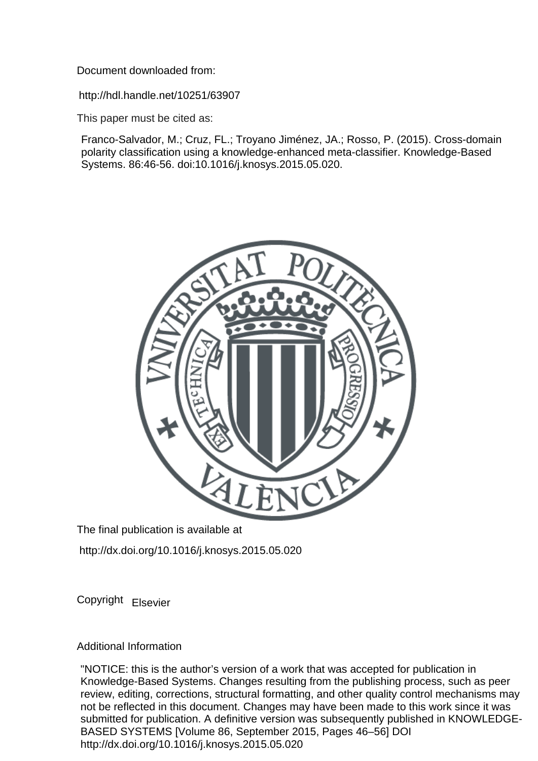Document downloaded from:

http://hdl.handle.net/10251/63907

This paper must be cited as:

Franco-Salvador, M.; Cruz, FL.; Troyano Jiménez, JA.; Rosso, P. (2015). Cross-domain polarity classification using a knowledge-enhanced meta-classifier. Knowledge-Based Systems. 86:46-56. doi:10.1016/j.knosys.2015.05.020.



The final publication is available at

http://dx.doi.org/10.1016/j.knosys.2015.05.020

Copyright Elsevier

Additional Information

"NOTICE: this is the author's version of a work that was accepted for publication in Knowledge-Based Systems. Changes resulting from the publishing process, such as peer review, editing, corrections, structural formatting, and other quality control mechanisms may not be reflected in this document. Changes may have been made to this work since it was submitted for publication. A definitive version was subsequently published in KNOWLEDGE-BASED SYSTEMS [Volume 86, September 2015, Pages 46–56] DOI http://dx.doi.org/10.1016/j.knosys.2015.05.020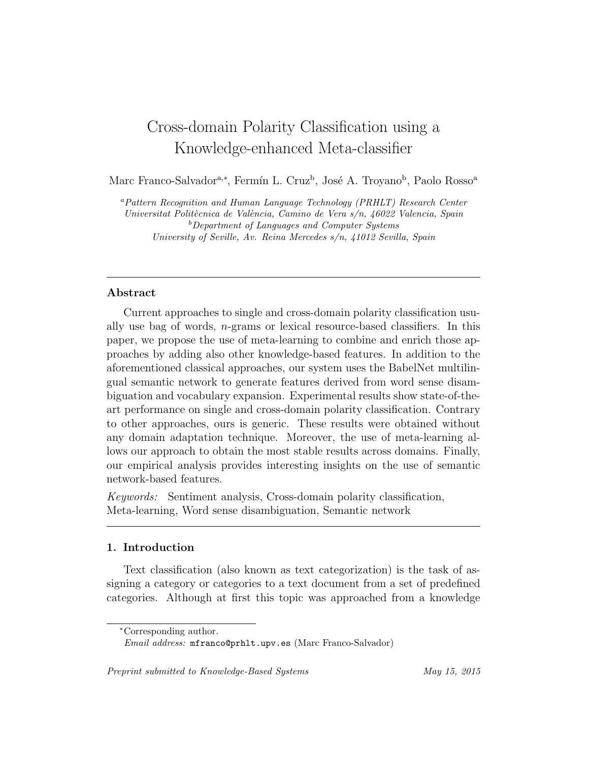# Cross-domain Polarity Classification using a Knowledge-enhanced Meta-classifier

Marc Franco-Salvador<sup>a,∗</sup>, Fermín L. Cruz<sup>b</sup>, José A. Troyano<sup>b</sup>, Paolo Rosso<sup>a</sup>

<sup>a</sup>Pattern Recognition and Human Language Technology (PRHLT) Research Center Universitat Politècnica de València, Camino de Vera s/n, 46022 Valencia, Spain <sup>b</sup>Department of Languages and Computer Systems University of Seville, Av. Reina Mercedes s/n, 41012 Sevilla, Spain

# Abstract

Current approaches to single and cross-domain polarity classification usually use bag of words, n-grams or lexical resource-based classifiers. In this paper, we propose the use of meta-learning to combine and enrich those approaches by adding also other knowledge-based features. In addition to the aforementioned classical approaches, our system uses the BabelNet multilingual semantic network to generate features derived from word sense disambiguation and vocabulary expansion. Experimental results show state-of-theart performance on single and cross-domain polarity classification. Contrary to other approaches, ours is generic. These results were obtained without any domain adaptation technique. Moreover, the use of meta-learning allows our approach to obtain the most stable results across domains. Finally, our empirical analysis provides interesting insights on the use of semantic network-based features.

Keywords: Sentiment analysis, Cross-domain polarity classification, Meta-learning, Word sense disambiguation, Semantic network

## 1. Introduction

Text classification (also known as text categorization) is the task of assigning a category or categories to a text document from a set of predefined categories. Although at first this topic was approached from a knowledge

Preprint submitted to Knowledge-Based Systems May 15, 2015

<sup>∗</sup>Corresponding author.

Email address: mfranco@prhlt.upv.es (Marc Franco-Salvador)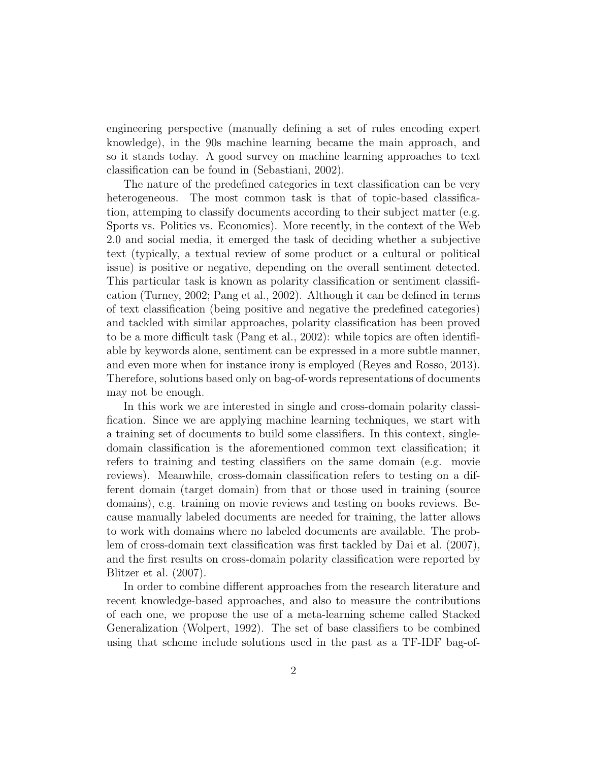engineering perspective (manually defining a set of rules encoding expert knowledge), in the 90s machine learning became the main approach, and so it stands today. A good survey on machine learning approaches to text classification can be found in (Sebastiani, 2002).

The nature of the predefined categories in text classification can be very heterogeneous. The most common task is that of topic-based classification, attemping to classify documents according to their subject matter (e.g. Sports vs. Politics vs. Economics). More recently, in the context of the Web 2.0 and social media, it emerged the task of deciding whether a subjective text (typically, a textual review of some product or a cultural or political issue) is positive or negative, depending on the overall sentiment detected. This particular task is known as polarity classification or sentiment classification (Turney, 2002; Pang et al., 2002). Although it can be defined in terms of text classification (being positive and negative the predefined categories) and tackled with similar approaches, polarity classification has been proved to be a more difficult task (Pang et al., 2002): while topics are often identifiable by keywords alone, sentiment can be expressed in a more subtle manner, and even more when for instance irony is employed (Reyes and Rosso, 2013). Therefore, solutions based only on bag-of-words representations of documents may not be enough.

In this work we are interested in single and cross-domain polarity classification. Since we are applying machine learning techniques, we start with a training set of documents to build some classifiers. In this context, singledomain classification is the aforementioned common text classification; it refers to training and testing classifiers on the same domain (e.g. movie reviews). Meanwhile, cross-domain classification refers to testing on a different domain (target domain) from that or those used in training (source domains), e.g. training on movie reviews and testing on books reviews. Because manually labeled documents are needed for training, the latter allows to work with domains where no labeled documents are available. The problem of cross-domain text classification was first tackled by Dai et al. (2007), and the first results on cross-domain polarity classification were reported by Blitzer et al. (2007).

In order to combine different approaches from the research literature and recent knowledge-based approaches, and also to measure the contributions of each one, we propose the use of a meta-learning scheme called Stacked Generalization (Wolpert, 1992). The set of base classifiers to be combined using that scheme include solutions used in the past as a TF-IDF bag-of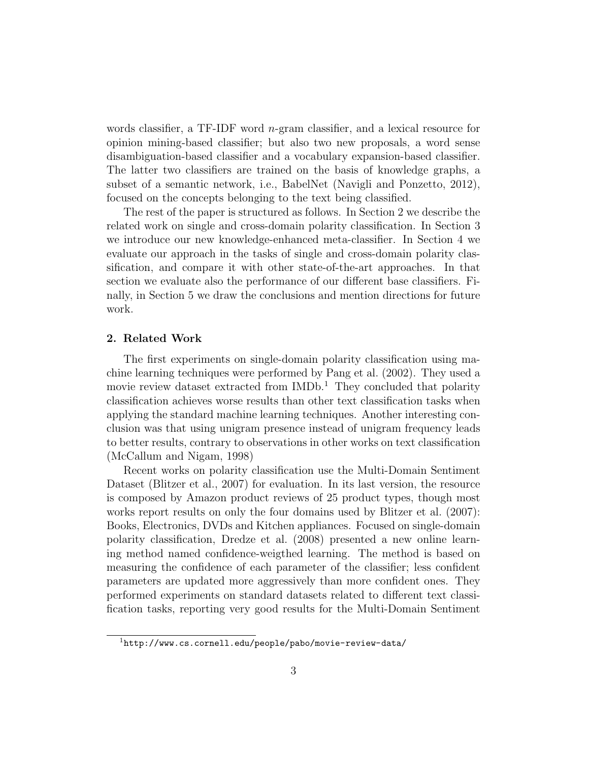words classifier, a TF-IDF word n-gram classifier, and a lexical resource for opinion mining-based classifier; but also two new proposals, a word sense disambiguation-based classifier and a vocabulary expansion-based classifier. The latter two classifiers are trained on the basis of knowledge graphs, a subset of a semantic network, i.e., BabelNet (Navigli and Ponzetto, 2012), focused on the concepts belonging to the text being classified.

The rest of the paper is structured as follows. In Section 2 we describe the related work on single and cross-domain polarity classification. In Section 3 we introduce our new knowledge-enhanced meta-classifier. In Section 4 we evaluate our approach in the tasks of single and cross-domain polarity classification, and compare it with other state-of-the-art approaches. In that section we evaluate also the performance of our different base classifiers. Finally, in Section 5 we draw the conclusions and mention directions for future work.

# 2. Related Work

The first experiments on single-domain polarity classification using machine learning techniques were performed by Pang et al. (2002). They used a movie review dataset extracted from  $IMDb<sup>1</sup>$ . They concluded that polarity classification achieves worse results than other text classification tasks when applying the standard machine learning techniques. Another interesting conclusion was that using unigram presence instead of unigram frequency leads to better results, contrary to observations in other works on text classification (McCallum and Nigam, 1998)

Recent works on polarity classification use the Multi-Domain Sentiment Dataset (Blitzer et al., 2007) for evaluation. In its last version, the resource is composed by Amazon product reviews of 25 product types, though most works report results on only the four domains used by Blitzer et al. (2007): Books, Electronics, DVDs and Kitchen appliances. Focused on single-domain polarity classification, Dredze et al. (2008) presented a new online learning method named confidence-weigthed learning. The method is based on measuring the confidence of each parameter of the classifier; less confident parameters are updated more aggressively than more confident ones. They performed experiments on standard datasets related to different text classification tasks, reporting very good results for the Multi-Domain Sentiment

<sup>1</sup>http://www.cs.cornell.edu/people/pabo/movie-review-data/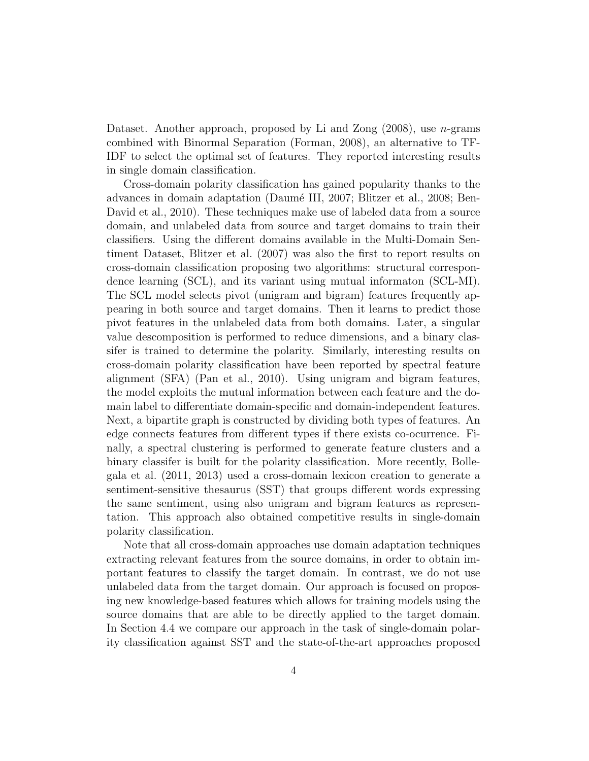Dataset. Another approach, proposed by Li and Zong  $(2008)$ , use *n*-grams combined with Binormal Separation (Forman, 2008), an alternative to TF-IDF to select the optimal set of features. They reported interesting results in single domain classification.

Cross-domain polarity classification has gained popularity thanks to the advances in domain adaptation (Daumé III, 2007; Blitzer et al., 2008; Ben-David et al., 2010). These techniques make use of labeled data from a source domain, and unlabeled data from source and target domains to train their classifiers. Using the different domains available in the Multi-Domain Sentiment Dataset, Blitzer et al. (2007) was also the first to report results on cross-domain classification proposing two algorithms: structural correspondence learning (SCL), and its variant using mutual informaton (SCL-MI). The SCL model selects pivot (unigram and bigram) features frequently appearing in both source and target domains. Then it learns to predict those pivot features in the unlabeled data from both domains. Later, a singular value descomposition is performed to reduce dimensions, and a binary classifer is trained to determine the polarity. Similarly, interesting results on cross-domain polarity classification have been reported by spectral feature alignment (SFA) (Pan et al., 2010). Using unigram and bigram features, the model exploits the mutual information between each feature and the domain label to differentiate domain-specific and domain-independent features. Next, a bipartite graph is constructed by dividing both types of features. An edge connects features from different types if there exists co-ocurrence. Finally, a spectral clustering is performed to generate feature clusters and a binary classifer is built for the polarity classification. More recently, Bollegala et al. (2011, 2013) used a cross-domain lexicon creation to generate a sentiment-sensitive thesaurus (SST) that groups different words expressing the same sentiment, using also unigram and bigram features as representation. This approach also obtained competitive results in single-domain polarity classification.

Note that all cross-domain approaches use domain adaptation techniques extracting relevant features from the source domains, in order to obtain important features to classify the target domain. In contrast, we do not use unlabeled data from the target domain. Our approach is focused on proposing new knowledge-based features which allows for training models using the source domains that are able to be directly applied to the target domain. In Section 4.4 we compare our approach in the task of single-domain polarity classification against SST and the state-of-the-art approaches proposed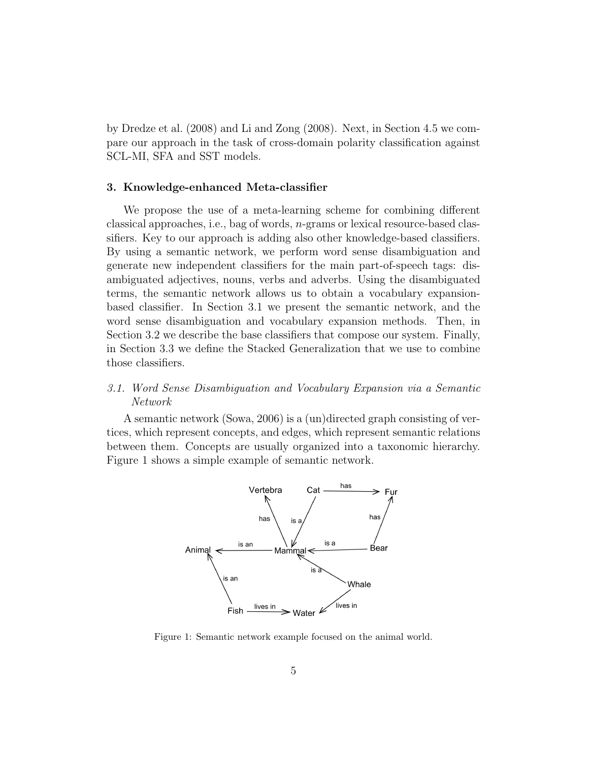by Dredze et al. (2008) and Li and Zong (2008). Next, in Section 4.5 we compare our approach in the task of cross-domain polarity classification against SCL-MI, SFA and SST models.

## 3. Knowledge-enhanced Meta-classifier

We propose the use of a meta-learning scheme for combining different classical approaches, i.e., bag of words, n-grams or lexical resource-based classifiers. Key to our approach is adding also other knowledge-based classifiers. By using a semantic network, we perform word sense disambiguation and generate new independent classifiers for the main part-of-speech tags: disambiguated adjectives, nouns, verbs and adverbs. Using the disambiguated terms, the semantic network allows us to obtain a vocabulary expansionbased classifier. In Section 3.1 we present the semantic network, and the word sense disambiguation and vocabulary expansion methods. Then, in Section 3.2 we describe the base classifiers that compose our system. Finally, in Section 3.3 we define the Stacked Generalization that we use to combine those classifiers.

# 3.1. Word Sense Disambiguation and Vocabulary Expansion via a Semantic Network

A semantic network (Sowa, 2006) is a (un)directed graph consisting of vertices, which represent concepts, and edges, which represent semantic relations between them. Concepts are usually organized into a taxonomic hierarchy. Figure 1 shows a simple example of semantic network.



Figure 1: Semantic network example focused on the animal world.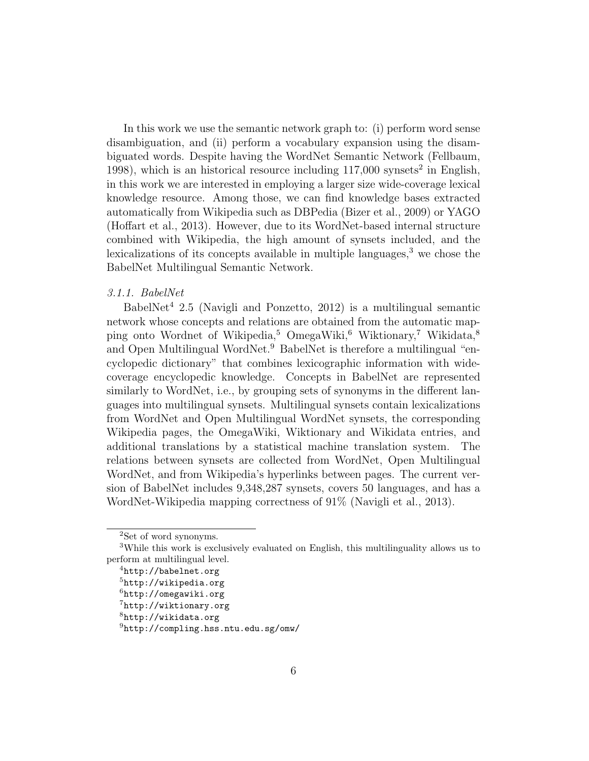In this work we use the semantic network graph to: (i) perform word sense disambiguation, and (ii) perform a vocabulary expansion using the disambiguated words. Despite having the WordNet Semantic Network (Fellbaum, 1998), which is an historical resource including  $117,000$  synsets<sup>2</sup> in English, in this work we are interested in employing a larger size wide-coverage lexical knowledge resource. Among those, we can find knowledge bases extracted automatically from Wikipedia such as DBPedia (Bizer et al., 2009) or YAGO (Hoffart et al., 2013). However, due to its WordNet-based internal structure combined with Wikipedia, the high amount of synsets included, and the lexicalizations of its concepts available in multiple languages,<sup>3</sup> we chose the BabelNet Multilingual Semantic Network.

# 3.1.1. BabelNet

BabelNet<sup>4</sup> 2.5 (Navigli and Ponzetto, 2012) is a multilingual semantic network whose concepts and relations are obtained from the automatic mapping onto Wordnet of Wikipedia,<sup>5</sup> OmegaWiki,<sup>6</sup> Wiktionary,<sup>7</sup> Wikidata,<sup>8</sup> and Open Multilingual WordNet.<sup>9</sup> BabelNet is therefore a multilingual "encyclopedic dictionary" that combines lexicographic information with widecoverage encyclopedic knowledge. Concepts in BabelNet are represented similarly to WordNet, i.e., by grouping sets of synonyms in the different languages into multilingual synsets. Multilingual synsets contain lexicalizations from WordNet and Open Multilingual WordNet synsets, the corresponding Wikipedia pages, the OmegaWiki, Wiktionary and Wikidata entries, and additional translations by a statistical machine translation system. The relations between synsets are collected from WordNet, Open Multilingual WordNet, and from Wikipedia's hyperlinks between pages. The current version of BabelNet includes 9,348,287 synsets, covers 50 languages, and has a WordNet-Wikipedia mapping correctness of 91% (Navigli et al., 2013).

<sup>&</sup>lt;sup>2</sup>Set of word synonyms.

<sup>3</sup>While this work is exclusively evaluated on English, this multilinguality allows us to perform at multilingual level.

<sup>4</sup>http://babelnet.org

<sup>&</sup>lt;sup>5</sup>http://wikipedia.org

 $6$ http://omegawiki.org

<sup>7</sup>http://wiktionary.org

 $8$ http://wikidata.org

<sup>9</sup>http://compling.hss.ntu.edu.sg/omw/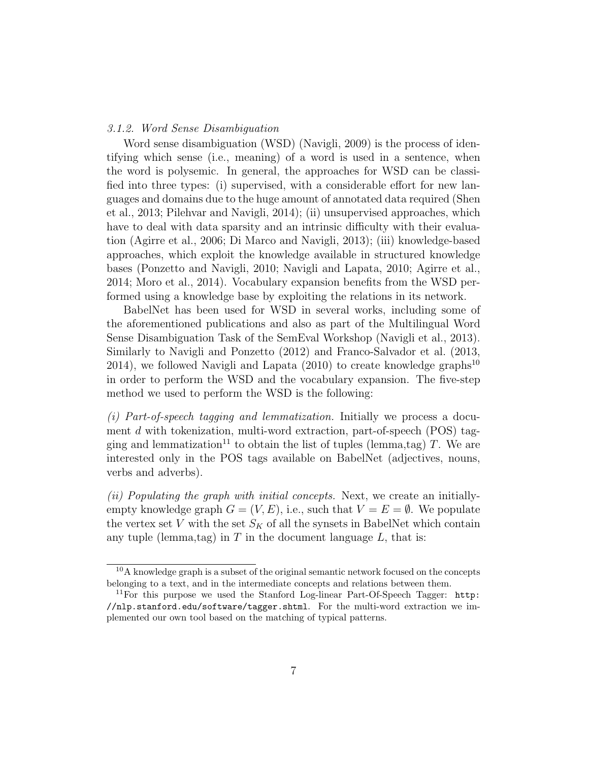## 3.1.2. Word Sense Disambiguation

Word sense disambiguation (WSD) (Navigli, 2009) is the process of identifying which sense (i.e., meaning) of a word is used in a sentence, when the word is polysemic. In general, the approaches for WSD can be classified into three types: (i) supervised, with a considerable effort for new languages and domains due to the huge amount of annotated data required (Shen et al., 2013; Pilehvar and Navigli, 2014); (ii) unsupervised approaches, which have to deal with data sparsity and an intrinsic difficulty with their evaluation (Agirre et al., 2006; Di Marco and Navigli, 2013); (iii) knowledge-based approaches, which exploit the knowledge available in structured knowledge bases (Ponzetto and Navigli, 2010; Navigli and Lapata, 2010; Agirre et al., 2014; Moro et al., 2014). Vocabulary expansion benefits from the WSD performed using a knowledge base by exploiting the relations in its network.

BabelNet has been used for WSD in several works, including some of the aforementioned publications and also as part of the Multilingual Word Sense Disambiguation Task of the SemEval Workshop (Navigli et al., 2013). Similarly to Navigli and Ponzetto (2012) and Franco-Salvador et al. (2013, 2014), we followed Navigli and Lapata  $(2010)$  to create knowledge graphs<sup>10</sup> in order to perform the WSD and the vocabulary expansion. The five-step method we used to perform the WSD is the following:

(i) Part-of-speech tagging and lemmatization. Initially we process a document d with tokenization, multi-word extraction, part-of-speech (POS) tagging and lemmatization<sup>11</sup> to obtain the list of tuples (lemma,tag) T. We are interested only in the POS tags available on BabelNet (adjectives, nouns, verbs and adverbs).

(ii) Populating the graph with initial concepts. Next, we create an initiallyempty knowledge graph  $G = (V, E)$ , i.e., such that  $V = E = \emptyset$ . We populate the vertex set V with the set  $S_K$  of all the synsets in BabelNet which contain any tuple (lemma,tag) in  $T$  in the document language  $L$ , that is:

 $10A$  knowledge graph is a subset of the original semantic network focused on the concepts belonging to a text, and in the intermediate concepts and relations between them.

<sup>&</sup>lt;sup>11</sup>For this purpose we used the Stanford Log-linear Part-Of-Speech Tagger: http: //nlp.stanford.edu/software/tagger.shtml. For the multi-word extraction we implemented our own tool based on the matching of typical patterns.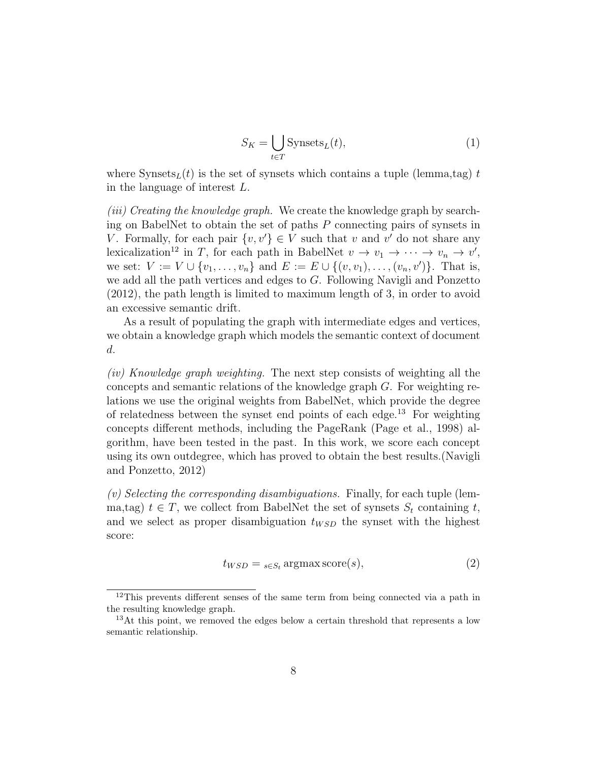$$
S_K = \bigcup_{t \in T} \text{Synsets}_L(t),\tag{1}
$$

where Synsets<sub>L</sub>(t) is the set of synsets which contains a tuple (lemma,tag) t in the language of interest L.

(iii) Creating the knowledge graph. We create the knowledge graph by searching on BabelNet to obtain the set of paths  $P$  connecting pairs of synsets in V. Formally, for each pair  $\{v, v'\} \in V$  such that v and v' do not share any lexicalization<sup>12</sup> in T, for each path in BabelNet  $v \to v_1 \to \cdots \to v_n \to v'$ , we set:  $V := V \cup \{v_1, \ldots, v_n\}$  and  $E := E \cup \{(v, v_1), \ldots, (v_n, v')\}$ . That is, we add all the path vertices and edges to G. Following Navigli and Ponzetto (2012), the path length is limited to maximum length of 3, in order to avoid an excessive semantic drift.

As a result of populating the graph with intermediate edges and vertices, we obtain a knowledge graph which models the semantic context of document d.

(iv) Knowledge graph weighting. The next step consists of weighting all the concepts and semantic relations of the knowledge graph G. For weighting relations we use the original weights from BabelNet, which provide the degree of relatedness between the synset end points of each edge.<sup>13</sup> For weighting concepts different methods, including the PageRank (Page et al., 1998) algorithm, have been tested in the past. In this work, we score each concept using its own outdegree, which has proved to obtain the best results.(Navigli and Ponzetto, 2012)

(v) Selecting the corresponding disambiguations. Finally, for each tuple (lemma,tag)  $t \in T$ , we collect from BabelNet the set of synsets  $S_t$  containing t, and we select as proper disambiguation  $t_{WSD}$  the synset with the highest score:

$$
t_{WSD} = {}_{s \in S_t} \operatorname{argmax score}(s), \tag{2}
$$

<sup>&</sup>lt;sup>12</sup>This prevents different senses of the same term from being connected via a path in the resulting knowledge graph.

<sup>&</sup>lt;sup>13</sup>At this point, we removed the edges below a certain threshold that represents a low semantic relationship.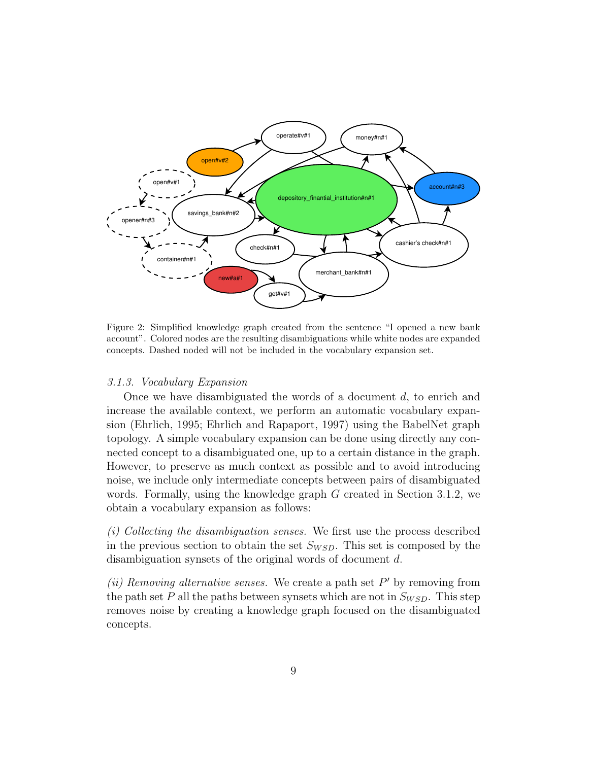

Figure 2: Simplified knowledge graph created from the sentence "I opened a new bank account". Colored nodes are the resulting disambiguations while white nodes are expanded concepts. Dashed noded will not be included in the vocabulary expansion set.

## 3.1.3. Vocabulary Expansion

Once we have disambiguated the words of a document d, to enrich and increase the available context, we perform an automatic vocabulary expansion (Ehrlich, 1995; Ehrlich and Rapaport, 1997) using the BabelNet graph topology. A simple vocabulary expansion can be done using directly any connected concept to a disambiguated one, up to a certain distance in the graph. However, to preserve as much context as possible and to avoid introducing noise, we include only intermediate concepts between pairs of disambiguated words. Formally, using the knowledge graph G created in Section 3.1.2, we obtain a vocabulary expansion as follows:

(i) Collecting the disambiguation senses. We first use the process described in the previous section to obtain the set  $S_{WSD}$ . This set is composed by the disambiguation synsets of the original words of document d.

(ii) Removing alternative senses. We create a path set  $P'$  by removing from the path set P all the paths between synsets which are not in  $S_{WSD}$ . This step removes noise by creating a knowledge graph focused on the disambiguated concepts.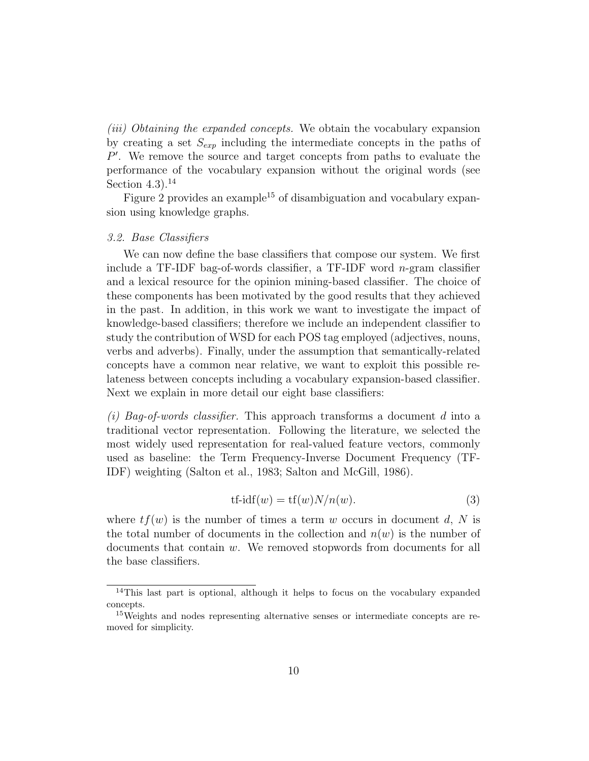(iii) Obtaining the expanded concepts. We obtain the vocabulary expansion by creating a set  $S_{\epsilon x p}$  including the intermediate concepts in the paths of  $P'$ . We remove the source and target concepts from paths to evaluate the performance of the vocabulary expansion without the original words (see Section  $4.3$ ).<sup>14</sup>

Figure  $2$  provides an example<sup>15</sup> of disambiguation and vocabulary expansion using knowledge graphs.

#### 3.2. Base Classifiers

We can now define the base classifiers that compose our system. We first include a TF-IDF bag-of-words classifier, a TF-IDF word n-gram classifier and a lexical resource for the opinion mining-based classifier. The choice of these components has been motivated by the good results that they achieved in the past. In addition, in this work we want to investigate the impact of knowledge-based classifiers; therefore we include an independent classifier to study the contribution of WSD for each POS tag employed (adjectives, nouns, verbs and adverbs). Finally, under the assumption that semantically-related concepts have a common near relative, we want to exploit this possible relateness between concepts including a vocabulary expansion-based classifier. Next we explain in more detail our eight base classifiers:

(i) Bag-of-words classifier. This approach transforms a document d into a traditional vector representation. Following the literature, we selected the most widely used representation for real-valued feature vectors, commonly used as baseline: the Term Frequency-Inverse Document Frequency (TF-IDF) weighting (Salton et al., 1983; Salton and McGill, 1986).

$$
tf-idf(w) = tf(w)N/n(w).
$$
\n(3)

where  $tf(w)$  is the number of times a term w occurs in document d, N is the total number of documents in the collection and  $n(w)$  is the number of documents that contain w. We removed stopwords from documents for all the base classifiers.

<sup>14</sup>This last part is optional, although it helps to focus on the vocabulary expanded concepts.

<sup>15</sup>Weights and nodes representing alternative senses or intermediate concepts are removed for simplicity.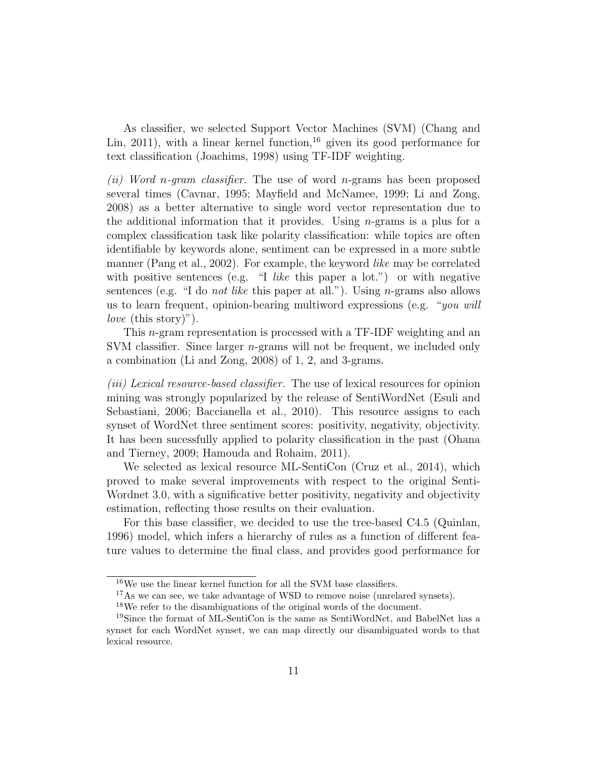As classifier, we selected Support Vector Machines (SVM) (Chang and Lin, 2011), with a linear kernel function,  $16$  given its good performance for text classification (Joachims, 1998) using TF-IDF weighting.

(ii) Word n-gram classifier. The use of word n-grams has been proposed several times (Cavnar, 1995; Mayfield and McNamee, 1999; Li and Zong, 2008) as a better alternative to single word vector representation due to the additional information that it provides. Using  $n$ -grams is a plus for a complex classification task like polarity classification: while topics are often identifiable by keywords alone, sentiment can be expressed in a more subtle manner (Pang et al., 2002). For example, the keyword *like* may be correlated with positive sentences (e.g. "I like this paper a lot.") or with negative sentences (e.g. "I do *not like* this paper at all."). Using *n*-grams also allows us to learn frequent, opinion-bearing multiword expressions (e.g. "*you will love* (this story)").

This n-gram representation is processed with a TF-IDF weighting and an SVM classifier. Since larger n-grams will not be frequent, we included only a combination (Li and Zong, 2008) of 1, 2, and 3-grams.

(iii) Lexical resource-based classifier. The use of lexical resources for opinion mining was strongly popularized by the release of SentiWordNet (Esuli and Sebastiani, 2006; Baccianella et al., 2010). This resource assigns to each synset of WordNet three sentiment scores: positivity, negativity, objectivity. It has been sucessfully applied to polarity classification in the past (Ohana and Tierney, 2009; Hamouda and Rohaim, 2011).

We selected as lexical resource ML-SentiCon (Cruz et al., 2014), which proved to make several improvements with respect to the original Senti-Wordnet 3.0, with a significative better positivity, negativity and objectivity estimation, reflecting those results on their evaluation.

For this base classifier, we decided to use the tree-based C4.5 (Quinlan, 1996) model, which infers a hierarchy of rules as a function of different feature values to determine the final class, and provides good performance for

 $^{16}\mathrm{We}$  use the linear kernel function for all the SVM base classifiers.

<sup>&</sup>lt;sup>17</sup>As we can see, we take advantage of WSD to remove noise (unrelared synsets).

<sup>18</sup>We refer to the disambiguations of the original words of the document.

<sup>19</sup>Since the format of ML-SentiCon is the same as SentiWordNet, and BabelNet has a synset for each WordNet synset, we can map directly our disambiguated words to that lexical resource.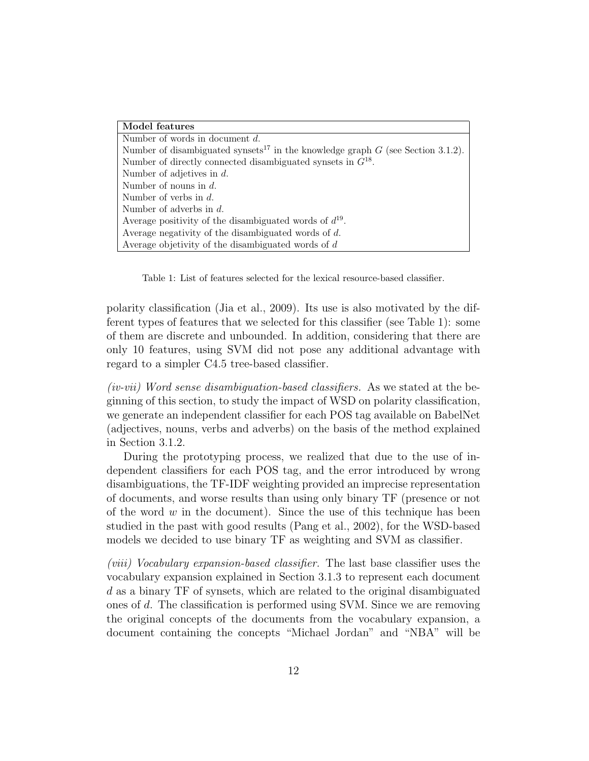| Model features                                                                                |
|-----------------------------------------------------------------------------------------------|
| Number of words in document $d$ .                                                             |
| Number of disambiguated synsets <sup>17</sup> in the knowledge graph $G$ (see Section 3.1.2). |
| Number of directly connected disambiguated synsets in $G^{18}$ .                              |
| Number of adjetives in $d$ .                                                                  |
| Number of nouns in $d$ .                                                                      |
| Number of verbs in $d$ .                                                                      |
| Number of adverbs in $d$ .                                                                    |
| Average positivity of the disambiguated words of $d^{19}$ .                                   |
| Average negativity of the disambiguated words of $d$ .                                        |
| Average objetivity of the disambiguated words of $d$                                          |

Table 1: List of features selected for the lexical resource-based classifier.

polarity classification (Jia et al., 2009). Its use is also motivated by the different types of features that we selected for this classifier (see Table 1): some of them are discrete and unbounded. In addition, considering that there are only 10 features, using SVM did not pose any additional advantage with regard to a simpler C4.5 tree-based classifier.

(iv-vii) Word sense disambiguation-based classifiers. As we stated at the beginning of this section, to study the impact of WSD on polarity classification, we generate an independent classifier for each POS tag available on BabelNet (adjectives, nouns, verbs and adverbs) on the basis of the method explained in Section 3.1.2.

During the prototyping process, we realized that due to the use of independent classifiers for each POS tag, and the error introduced by wrong disambiguations, the TF-IDF weighting provided an imprecise representation of documents, and worse results than using only binary TF (presence or not of the word  $w$  in the document). Since the use of this technique has been studied in the past with good results (Pang et al., 2002), for the WSD-based models we decided to use binary TF as weighting and SVM as classifier.

(viii) Vocabulary expansion-based classifier. The last base classifier uses the vocabulary expansion explained in Section 3.1.3 to represent each document d as a binary TF of synsets, which are related to the original disambiguated ones of d. The classification is performed using SVM. Since we are removing the original concepts of the documents from the vocabulary expansion, a document containing the concepts "Michael Jordan" and "NBA" will be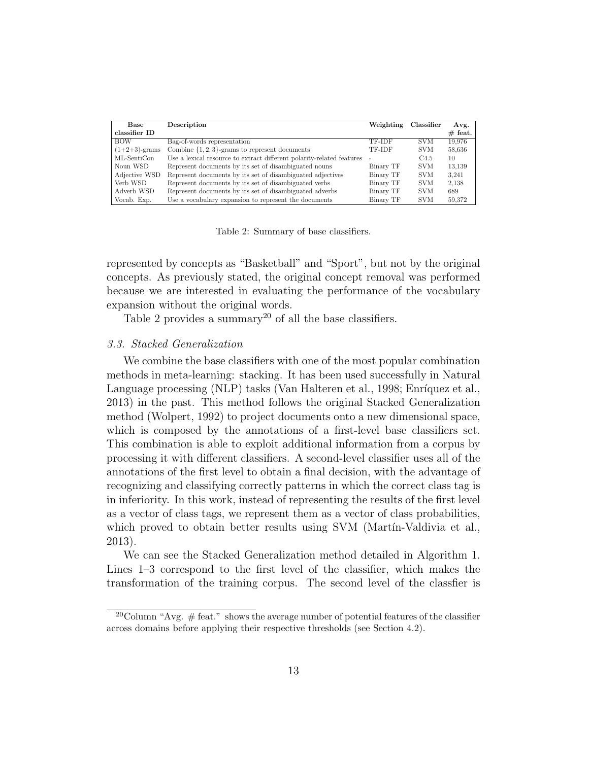| Base             | Description                                                           | Weighting | Classifier       | Avg.      |
|------------------|-----------------------------------------------------------------------|-----------|------------------|-----------|
| classifier ID    |                                                                       |           |                  | $#$ feat. |
| <b>BOW</b>       | Bag-of-words representation                                           | TF-IDF    | SVM.             | 19.976    |
| $(1+2+3)$ -grams | Combine $\{1, 2, 3\}$ -grams to represent documents                   | TF-IDF    | <b>SVM</b>       | 58,636    |
| ML-SentiCon      | Use a lexical resource to extract different polarity-related features |           | C <sub>4.5</sub> | 10        |
| Noun WSD         | Represent documents by its set of disambiguated nouns                 | Binary TF | <b>SVM</b>       | 13.139    |
| Adjective WSD    | Represent documents by its set of disambiguated adjectives            | Binary TF | <b>SVM</b>       | 3.241     |
| Verb WSD         | Represent documents by its set of disambiguated verbs                 | Binary TF | <b>SVM</b>       | 2.138     |
| Adverb WSD       | Represent documents by its set of disambiguated adverbs               | Binary TF | <b>SVM</b>       | 689       |
| Vocab. Exp.      | Use a vocabulary expansion to represent the documents                 | Binary TF | <b>SVM</b>       | 59.372    |

Table 2: Summary of base classifiers.

represented by concepts as "Basketball" and "Sport", but not by the original concepts. As previously stated, the original concept removal was performed because we are interested in evaluating the performance of the vocabulary expansion without the original words.

Table 2 provides a summary<sup>20</sup> of all the base classifiers.

#### 3.3. Stacked Generalization

We combine the base classifiers with one of the most popular combination methods in meta-learning: stacking. It has been used successfully in Natural Language processing (NLP) tasks (Van Halteren et al., 1998; Enríquez et al., 2013) in the past. This method follows the original Stacked Generalization method (Wolpert, 1992) to project documents onto a new dimensional space, which is composed by the annotations of a first-level base classifiers set. This combination is able to exploit additional information from a corpus by processing it with different classifiers. A second-level classifier uses all of the annotations of the first level to obtain a final decision, with the advantage of recognizing and classifying correctly patterns in which the correct class tag is in inferiority. In this work, instead of representing the results of the first level as a vector of class tags, we represent them as a vector of class probabilities, which proved to obtain better results using SVM (Martín-Valdivia et al., 2013).

We can see the Stacked Generalization method detailed in Algorithm 1. Lines 1–3 correspond to the first level of the classifier, which makes the transformation of the training corpus. The second level of the classfier is

<sup>&</sup>lt;sup>20</sup>Column "Avg.  $#$  feat." shows the average number of potential features of the classifier across domains before applying their respective thresholds (see Section 4.2).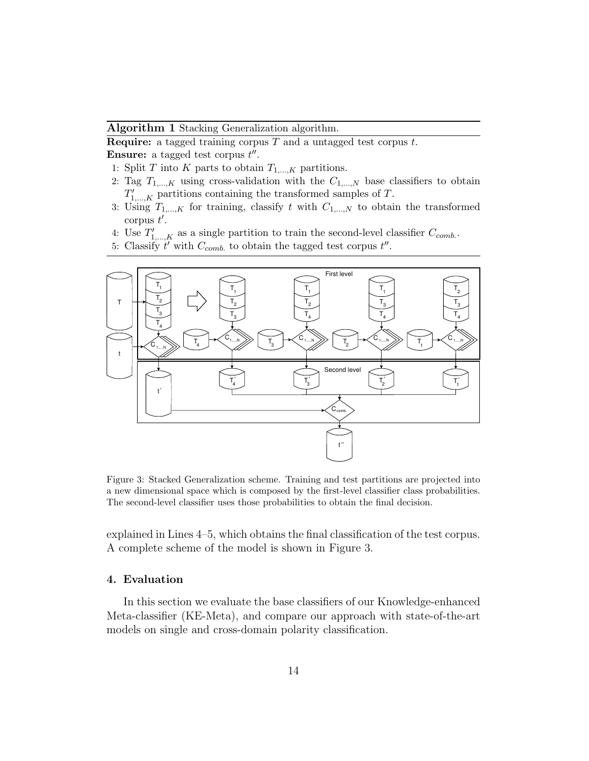## Algorithm 1 Stacking Generalization algorithm.

**Require:** a tagged training corpus  $T$  and a untagged test corpus  $t$ . **Ensure:** a tagged test corpus  $t''$ .

- 1: Split T into K parts to obtain  $T_{1,\dots,K}$  partitions.
- 2: Tag  $T_{1,\dots,K}$  using cross-validation with the  $C_{1,\dots,N}$  base classifiers to obtain  $T'_{1,\dots,K}$  partitions containing the transformed samples of T.
- 3: Using  $T_{1,\dots,K}$  for training, classify t with  $C_{1,\dots,N}$  to obtain the transformed corpus  $t'$ .
- 4: Use  $T'_{1,\dots,K}$  as a single partition to train the second-level classifier  $C_{comb}$ .
- 5: Classify  $t'$  with  $C_{comb.}$  to obtain the tagged test corpus  $t''$ .



Figure 3: Stacked Generalization scheme. Training and test partitions are projected into a new dimensional space which is composed by the first-level classifier class probabilities. The second-level classifier uses those probabilities to obtain the final decision.

explained in Lines 4–5, which obtains the final classification of the test corpus. A complete scheme of the model is shown in Figure 3.

## 4. Evaluation

In this section we evaluate the base classifiers of our Knowledge-enhanced Meta-classifier (KE-Meta), and compare our approach with state-of-the-art models on single and cross-domain polarity classification.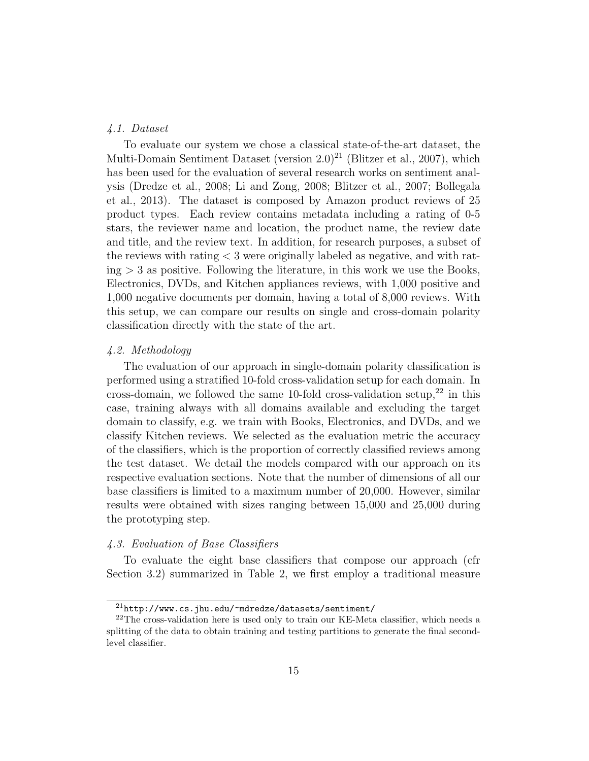## 4.1. Dataset

To evaluate our system we chose a classical state-of-the-art dataset, the Multi-Domain Sentiment Dataset (version  $2.0^{21}$  (Blitzer et al., 2007), which has been used for the evaluation of several research works on sentiment analysis (Dredze et al., 2008; Li and Zong, 2008; Blitzer et al., 2007; Bollegala et al., 2013). The dataset is composed by Amazon product reviews of 25 product types. Each review contains metadata including a rating of 0-5 stars, the reviewer name and location, the product name, the review date and title, and the review text. In addition, for research purposes, a subset of the reviews with rating < 3 were originally labeled as negative, and with rat $ing \geq 3$  as positive. Following the literature, in this work we use the Books, Electronics, DVDs, and Kitchen appliances reviews, with 1,000 positive and 1,000 negative documents per domain, having a total of 8,000 reviews. With this setup, we can compare our results on single and cross-domain polarity classification directly with the state of the art.

#### 4.2. Methodology

The evaluation of our approach in single-domain polarity classification is performed using a stratified 10-fold cross-validation setup for each domain. In cross-domain, we followed the same 10-fold cross-validation setup, $^{22}$  in this case, training always with all domains available and excluding the target domain to classify, e.g. we train with Books, Electronics, and DVDs, and we classify Kitchen reviews. We selected as the evaluation metric the accuracy of the classifiers, which is the proportion of correctly classified reviews among the test dataset. We detail the models compared with our approach on its respective evaluation sections. Note that the number of dimensions of all our base classifiers is limited to a maximum number of 20,000. However, similar results were obtained with sizes ranging between 15,000 and 25,000 during the prototyping step.

# 4.3. Evaluation of Base Classifiers

To evaluate the eight base classifiers that compose our approach (cfr Section 3.2) summarized in Table 2, we first employ a traditional measure

 $^{21}$ http://www.cs.jhu.edu/~mdredze/datasets/sentiment/

 $^{22}$ The cross-validation here is used only to train our KE-Meta classifier, which needs a splitting of the data to obtain training and testing partitions to generate the final secondlevel classifier.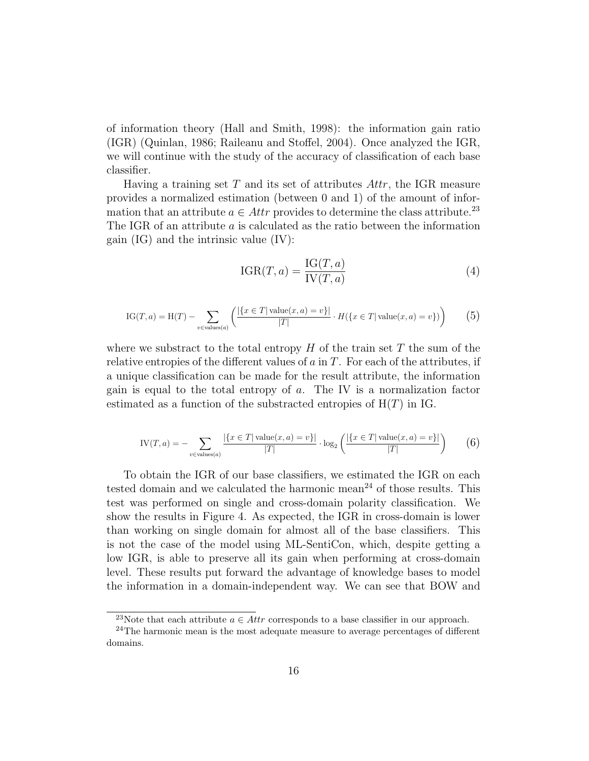of information theory (Hall and Smith, 1998): the information gain ratio (IGR) (Quinlan, 1986; Raileanu and Stoffel, 2004). Once analyzed the IGR, we will continue with the study of the accuracy of classification of each base classifier.

Having a training set  $T$  and its set of attributes  $Attr$ , the IGR measure provides a normalized estimation (between 0 and 1) of the amount of information that an attribute  $a \in \mathcal{A}$ ttr provides to determine the class attribute.<sup>23</sup> The IGR of an attribute a is calculated as the ratio between the information gain (IG) and the intrinsic value (IV):

$$
IGR(T, a) = \frac{IG(T, a)}{IV(T, a)}
$$
(4)

IG(T, a) = H(T) - 
$$
\sum_{v \in values(a)} \left( \frac{|\{x \in T | \text{ value}(x, a) = v\}|}{|T|} \cdot H(\{x \in T | \text{ value}(x, a) = v\}) \right)
$$
(5)

where we substract to the total entropy  $H$  of the train set  $T$  the sum of the relative entropies of the different values of  $a$  in  $T$ . For each of the attributes, if a unique classification can be made for the result attribute, the information gain is equal to the total entropy of a. The IV is a normalization factor estimated as a function of the substracted entropies of  $H(T)$  in IG.

$$
IV(T, a) = -\sum_{v \in values(a)} \frac{|\{x \in T | \text{ value}(x, a) = v\}|}{|T|} \cdot \log_2 \left( \frac{|\{x \in T | \text{ value}(x, a) = v\}|}{|T|} \right) \tag{6}
$$

To obtain the IGR of our base classifiers, we estimated the IGR on each tested domain and we calculated the harmonic mean<sup>24</sup> of those results. This test was performed on single and cross-domain polarity classification. We show the results in Figure 4. As expected, the IGR in cross-domain is lower than working on single domain for almost all of the base classifiers. This is not the case of the model using ML-SentiCon, which, despite getting a low IGR, is able to preserve all its gain when performing at cross-domain level. These results put forward the advantage of knowledge bases to model the information in a domain-independent way. We can see that BOW and

<sup>&</sup>lt;sup>23</sup>Note that each attribute  $a \in Attr$  corresponds to a base classifier in our approach.

<sup>&</sup>lt;sup>24</sup>The harmonic mean is the most adequate measure to average percentages of different domains.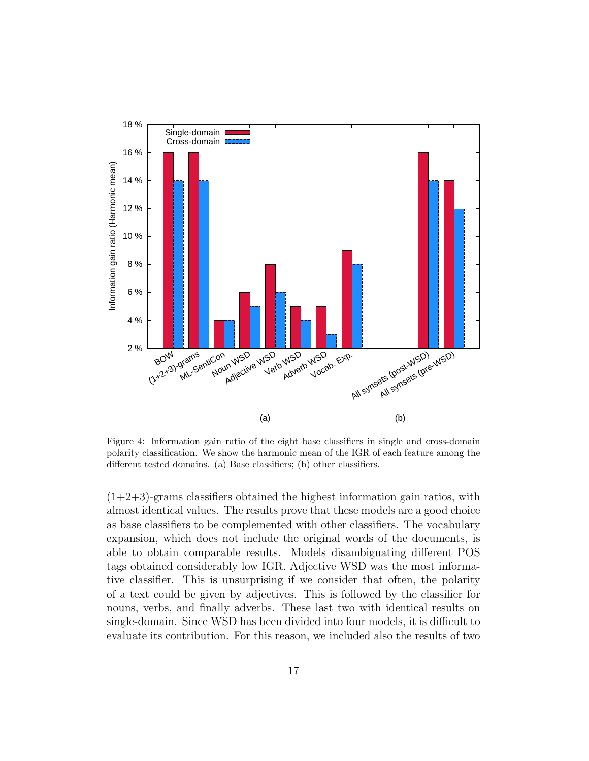

Figure 4: Information gain ratio of the eight base classifiers in single and cross-domain polarity classification. We show the harmonic mean of the IGR of each feature among the different tested domains. (a) Base classifiers; (b) other classifiers.

 $(1+2+3)$ -grams classifiers obtained the highest information gain ratios, with almost identical values. The results prove that these models are a good choice as base classifiers to be complemented with other classifiers. The vocabulary expansion, which does not include the original words of the documents, is able to obtain comparable results. Models disambiguating different POS tags obtained considerably low IGR. Adjective WSD was the most informative classifier. This is unsurprising if we consider that often, the polarity of a text could be given by adjectives. This is followed by the classifier for nouns, verbs, and finally adverbs. These last two with identical results on single-domain. Since WSD has been divided into four models, it is difficult to evaluate its contribution. For this reason, we included also the results of two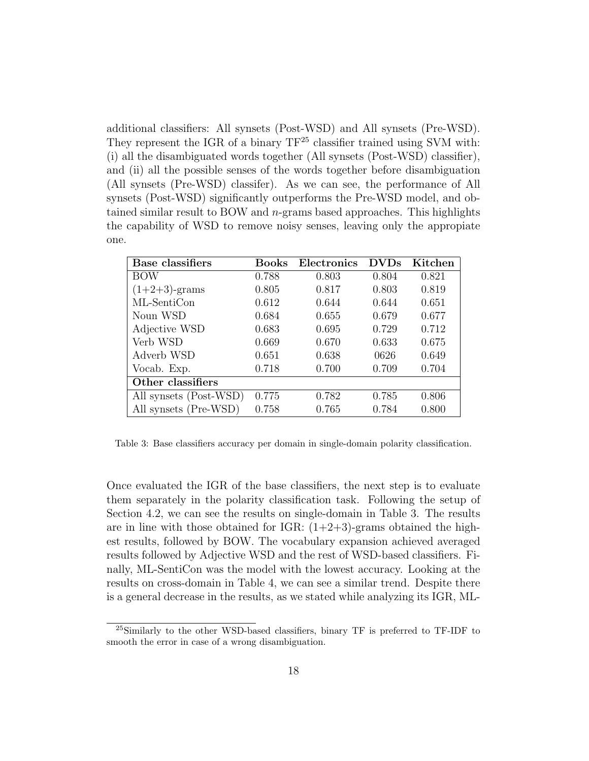additional classifiers: All synsets (Post-WSD) and All synsets (Pre-WSD). They represent the IGR of a binary  $TF^{25}$  classifier trained using SVM with: (i) all the disambiguated words together (All synsets (Post-WSD) classifier), and (ii) all the possible senses of the words together before disambiguation (All synsets (Pre-WSD) classifer). As we can see, the performance of All synsets (Post-WSD) significantly outperforms the Pre-WSD model, and obtained similar result to BOW and n-grams based approaches. This highlights the capability of WSD to remove noisy senses, leaving only the appropiate one.

| Base classifiers       | Books | Electronics | <b>DVDs</b> | Kitchen |
|------------------------|-------|-------------|-------------|---------|
| <b>BOW</b>             | 0.788 | 0.803       | 0.804       | 0.821   |
| $(1+2+3)$ -grams       | 0.805 | 0.817       | 0.803       | 0.819   |
| ML-SentiCon            | 0.612 | 0.644       | 0.644       | 0.651   |
| Noun WSD               | 0.684 | 0.655       | 0.679       | 0.677   |
| Adjective WSD          | 0.683 | 0.695       | 0.729       | 0.712   |
| Verb WSD               | 0.669 | 0.670       | 0.633       | 0.675   |
| Adverb WSD             | 0.651 | 0.638       | 0626        | 0.649   |
| Vocab. Exp.            | 0.718 | 0.700       | 0.709       | 0.704   |
| Other classifiers      |       |             |             |         |
| All synsets (Post-WSD) | 0.775 | 0.782       | 0.785       | 0.806   |
| All synsets (Pre-WSD)  | 0.758 | 0.765       | 0.784       | 0.800   |

Table 3: Base classifiers accuracy per domain in single-domain polarity classification.

Once evaluated the IGR of the base classifiers, the next step is to evaluate them separately in the polarity classification task. Following the setup of Section 4.2, we can see the results on single-domain in Table 3. The results are in line with those obtained for IGR:  $(1+2+3)$ -grams obtained the highest results, followed by BOW. The vocabulary expansion achieved averaged results followed by Adjective WSD and the rest of WSD-based classifiers. Finally, ML-SentiCon was the model with the lowest accuracy. Looking at the results on cross-domain in Table 4, we can see a similar trend. Despite there is a general decrease in the results, as we stated while analyzing its IGR, ML-

<sup>25</sup>Similarly to the other WSD-based classifiers, binary TF is preferred to TF-IDF to smooth the error in case of a wrong disambiguation.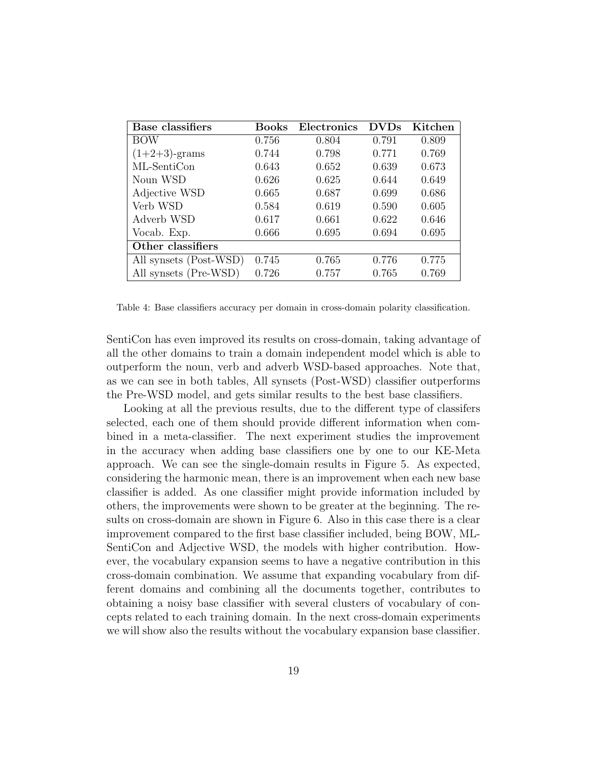| Base classifiers       | Books | Electronics | <b>DVDs</b> | Kitchen |
|------------------------|-------|-------------|-------------|---------|
| BOW                    | 0.756 | 0.804       | 0.791       | 0.809   |
| $(1+2+3)$ -grams       | 0.744 | 0.798       | 0.771       | 0.769   |
| ML-SentiCon            | 0.643 | 0.652       | 0.639       | 0.673   |
| Noun WSD               | 0.626 | 0.625       | 0.644       | 0.649   |
| Adjective WSD          | 0.665 | 0.687       | 0.699       | 0.686   |
| Verb WSD               | 0.584 | 0.619       | 0.590       | 0.605   |
| Adverb WSD             | 0.617 | 0.661       | 0.622       | 0.646   |
| Vocab. Exp.            | 0.666 | 0.695       | 0.694       | 0.695   |
| Other classifiers      |       |             |             |         |
| All synsets (Post-WSD) | 0.745 | 0.765       | 0.776       | 0.775   |
| All synsets (Pre-WSD)  | 0.726 | 0.757       | 0.765       | 0.769   |

Table 4: Base classifiers accuracy per domain in cross-domain polarity classification.

SentiCon has even improved its results on cross-domain, taking advantage of all the other domains to train a domain independent model which is able to outperform the noun, verb and adverb WSD-based approaches. Note that, as we can see in both tables, All synsets (Post-WSD) classifier outperforms the Pre-WSD model, and gets similar results to the best base classifiers.

Looking at all the previous results, due to the different type of classifers selected, each one of them should provide different information when combined in a meta-classifier. The next experiment studies the improvement in the accuracy when adding base classifiers one by one to our KE-Meta approach. We can see the single-domain results in Figure 5. As expected, considering the harmonic mean, there is an improvement when each new base classifier is added. As one classifier might provide information included by others, the improvements were shown to be greater at the beginning. The results on cross-domain are shown in Figure 6. Also in this case there is a clear improvement compared to the first base classifier included, being BOW, ML-SentiCon and Adjective WSD, the models with higher contribution. However, the vocabulary expansion seems to have a negative contribution in this cross-domain combination. We assume that expanding vocabulary from different domains and combining all the documents together, contributes to obtaining a noisy base classifier with several clusters of vocabulary of concepts related to each training domain. In the next cross-domain experiments we will show also the results without the vocabulary expansion base classifier.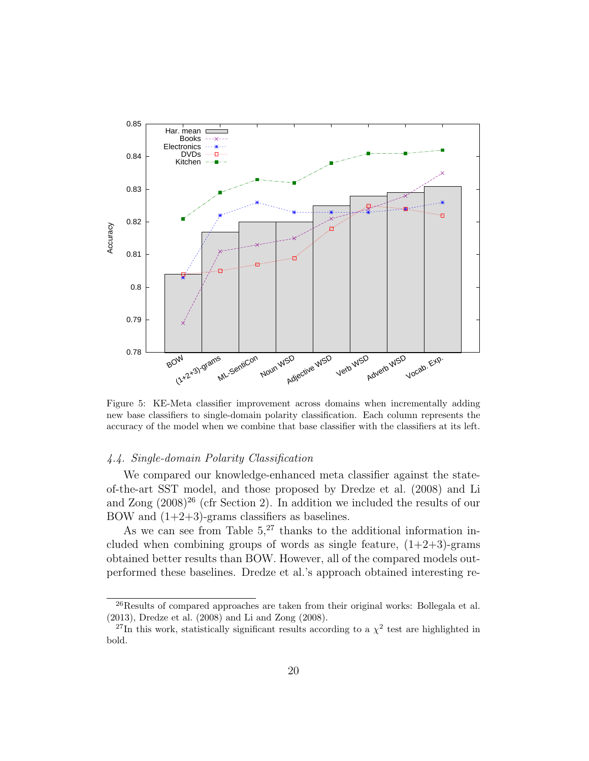

Figure 5: KE-Meta classifier improvement across domains when incrementally adding new base classifiers to single-domain polarity classification. Each column represents the accuracy of the model when we combine that base classifier with the classifiers at its left.

# 4.4. Single-domain Polarity Classification

We compared our knowledge-enhanced meta classifier against the stateof-the-art SST model, and those proposed by Dredze et al. (2008) and Li and Zong  $(2008)^{26}$  (cfr Section 2). In addition we included the results of our BOW and  $(1+2+3)$ -grams classifiers as baselines.

As we can see from Table  $5<sup>27</sup>$  thanks to the additional information included when combining groups of words as single feature,  $(1+2+3)$ -grams obtained better results than BOW. However, all of the compared models outperformed these baselines. Dredze et al.'s approach obtained interesting re-

<sup>&</sup>lt;sup>26</sup>Results of compared approaches are taken from their original works: Bollegala et al. (2013), Dredze et al. (2008) and Li and Zong (2008).

<sup>&</sup>lt;sup>27</sup>In this work, statistically significant results according to a  $\chi^2$  test are highlighted in bold.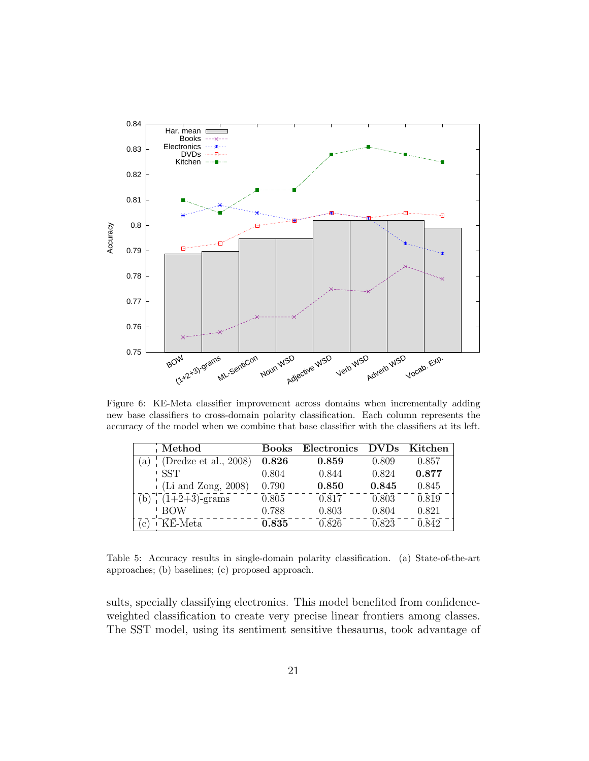

Figure 6: KE-Meta classifier improvement across domains when incrementally adding new base classifiers to cross-domain polarity classification. Each column represents the accuracy of the model when we combine that base classifier with the classifiers at its left.

| Method                                  | <b>Books</b> | Electronics | <b>DVDs</b> | Kitchen |
|-----------------------------------------|--------------|-------------|-------------|---------|
| (Dredze et al., 2008)<br>a)             | 0.826        | 0.859       | 0.809       | 0.857   |
| -SST                                    | 0.804        | 0.844       | 0.824       | 0.877   |
| $(Li \text{ and } \mathrm{Zong}, 2008)$ | 0.790        | 0.850       | 0.845       | 0.845   |
| $\sqrt{(1+2+3)}$ -grams                 | 0.805        | 0.817       | 0.803       | 0.819   |
| <b>BOW</b>                              | 0.788        | 0.803       | 0.804       | 0.821   |
| KE-Meta                                 | 0.835        | 0.826       | 0.823       | 0.842   |

Table 5: Accuracy results in single-domain polarity classification. (a) State-of-the-art approaches; (b) baselines; (c) proposed approach.

sults, specially classifying electronics. This model benefited from confidenceweighted classification to create very precise linear frontiers among classes. The SST model, using its sentiment sensitive thesaurus, took advantage of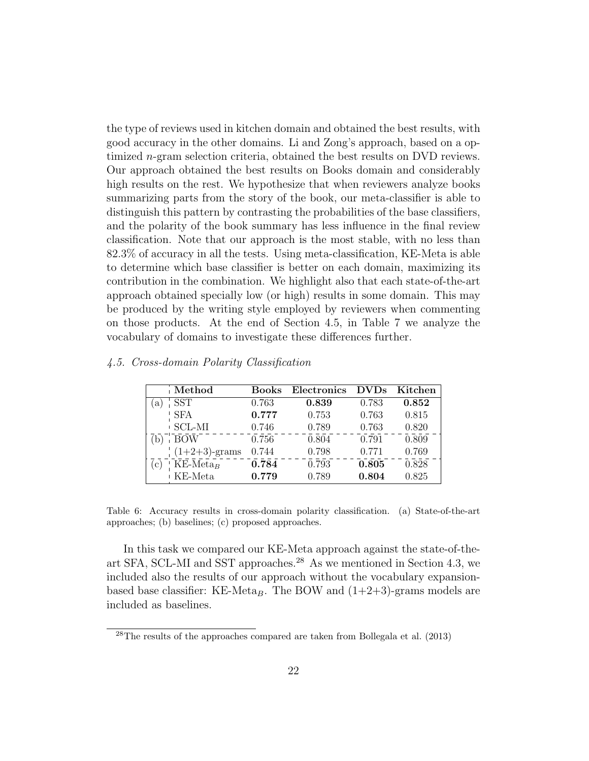the type of reviews used in kitchen domain and obtained the best results, with good accuracy in the other domains. Li and Zong's approach, based on a optimized n-gram selection criteria, obtained the best results on DVD reviews. Our approach obtained the best results on Books domain and considerably high results on the rest. We hypothesize that when reviewers analyze books summarizing parts from the story of the book, our meta-classifier is able to distinguish this pattern by contrasting the probabilities of the base classifiers, and the polarity of the book summary has less influence in the final review classification. Note that our approach is the most stable, with no less than 82.3% of accuracy in all the tests. Using meta-classification, KE-Meta is able to determine which base classifier is better on each domain, maximizing its contribution in the combination. We highlight also that each state-of-the-art approach obtained specially low (or high) results in some domain. This may be produced by the writing style employed by reviewers when commenting on those products. At the end of Section 4.5, in Table 7 we analyze the vocabulary of domains to investigate these differences further.

| Method                                    | <b>Books</b> | Electronics | <b>DVDs</b> | Kitchen |
|-------------------------------------------|--------------|-------------|-------------|---------|
| <b>SST</b><br>a)                          | 0.763        | 0.839       | 0.783       | 0.852   |
| <b>SFA</b>                                | 0.777        | 0.753       | 0.763       | 0.815   |
| <b>SCL-MI</b>                             | 0.746        | 0.789       | 0.763       | 0.820   |
| $\overline{BOW}$                          | 0.756        | 0.804       | 0.791       | 0.809   |
| $(1+2+3)$ -grams                          | 0.744        | 0.798       | 0.771       | 0.769   |
| $KE$ -Meta <sub>B</sub><br>$\mathbf{c}$ ) | 0.784        | 0.793       | 0.805       | 0.828   |
| KE-Meta                                   | 0.779        | 0.789       | 0.804       | 0.825   |

4.5. Cross-domain Polarity Classification

Table 6: Accuracy results in cross-domain polarity classification. (a) State-of-the-art approaches; (b) baselines; (c) proposed approaches.

In this task we compared our KE-Meta approach against the state-of-theart SFA, SCL-MI and SST approaches.<sup>28</sup> As we mentioned in Section 4.3, we included also the results of our approach without the vocabulary expansionbased base classifier: KE-Meta<sub>B</sub>. The BOW and  $(1+2+3)$ -grams models are included as baselines.

 $^{28}$ The results of the approaches compared are taken from Bollegala et al. (2013)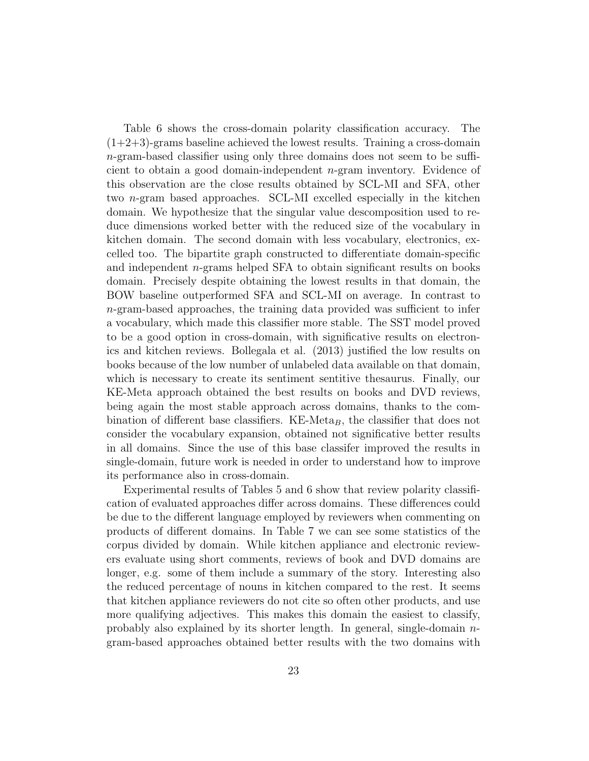Table 6 shows the cross-domain polarity classification accuracy. The  $(1+2+3)$ -grams baseline achieved the lowest results. Training a cross-domain n-gram-based classifier using only three domains does not seem to be sufficient to obtain a good domain-independent n-gram inventory. Evidence of this observation are the close results obtained by SCL-MI and SFA, other two n-gram based approaches. SCL-MI excelled especially in the kitchen domain. We hypothesize that the singular value descomposition used to reduce dimensions worked better with the reduced size of the vocabulary in kitchen domain. The second domain with less vocabulary, electronics, excelled too. The bipartite graph constructed to differentiate domain-specific and independent n-grams helped SFA to obtain significant results on books domain. Precisely despite obtaining the lowest results in that domain, the BOW baseline outperformed SFA and SCL-MI on average. In contrast to n-gram-based approaches, the training data provided was sufficient to infer a vocabulary, which made this classifier more stable. The SST model proved to be a good option in cross-domain, with significative results on electronics and kitchen reviews. Bollegala et al. (2013) justified the low results on books because of the low number of unlabeled data available on that domain, which is necessary to create its sentiment sentitive thesaurus. Finally, our KE-Meta approach obtained the best results on books and DVD reviews, being again the most stable approach across domains, thanks to the combination of different base classifiers. KE-Meta<sub>B</sub>, the classifier that does not consider the vocabulary expansion, obtained not significative better results in all domains. Since the use of this base classifer improved the results in single-domain, future work is needed in order to understand how to improve its performance also in cross-domain.

Experimental results of Tables 5 and 6 show that review polarity classification of evaluated approaches differ across domains. These differences could be due to the different language employed by reviewers when commenting on products of different domains. In Table 7 we can see some statistics of the corpus divided by domain. While kitchen appliance and electronic reviewers evaluate using short comments, reviews of book and DVD domains are longer, e.g. some of them include a summary of the story. Interesting also the reduced percentage of nouns in kitchen compared to the rest. It seems that kitchen appliance reviewers do not cite so often other products, and use more qualifying adjectives. This makes this domain the easiest to classify, probably also explained by its shorter length. In general, single-domain  $n$ gram-based approaches obtained better results with the two domains with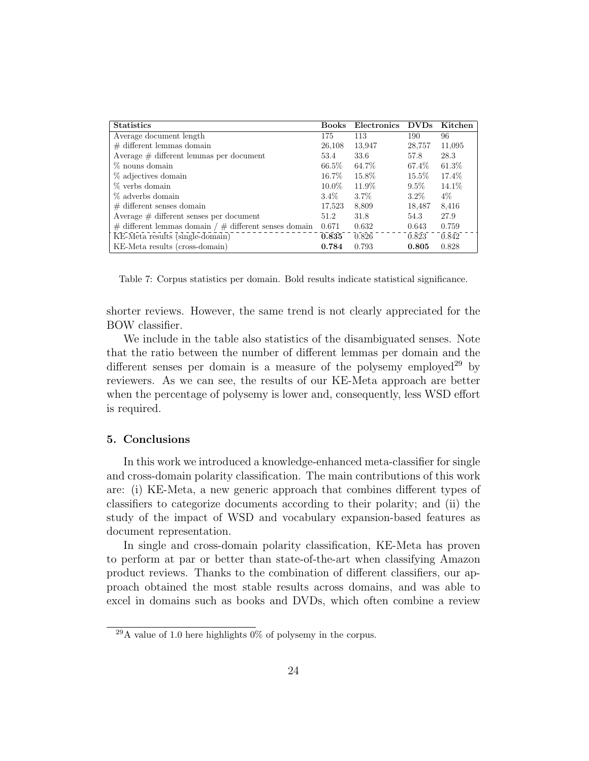| <b>Statistics</b>                                           | <b>Books</b> | Electronics | <b>DVDs</b> | Kitchen |
|-------------------------------------------------------------|--------------|-------------|-------------|---------|
| Average document length                                     | 175          | 113         | 190         | 96      |
| $\#$ different lemmas domain                                | 26,108       | 13,947      | 28,757      | 11,095  |
| Average $\#$ different lemmas per document                  | 53.4         | 33.6        | 57.8        | 28.3    |
| % nouns domain                                              | 66.5%        | 64.7%       | 67.4%       | 61.3%   |
| % adjectives domain                                         | 16.7%        | 15.8%       | 15.5%       | 17.4%   |
| % verbs domain                                              | $10.0\%$     | 11.9%       | $9.5\%$     | 14.1%   |
| % adverbs domain                                            | $3.4\%$      | $3.7\%$     | $3.2\%$     | 4%      |
| $\#$ different senses domain                                | 17,523       | 8,809       | 18,487      | 8.416   |
| Average $\#$ different senses per document                  | 51.2         | 31.8        | 54.3        | 27.9    |
| $\#$ different lemmas domain / $\#$ different senses domain | 0.671        | 0.632       | 0.643       | 0.759   |
| KE-Meta results (single-domain)                             | 0.835        | 0.826       | 0.823       | 0.842   |
| KE-Meta results (cross-domain)                              | 0.784        | 0.793       | 0.805       | 0.828   |

Table 7: Corpus statistics per domain. Bold results indicate statistical significance.

shorter reviews. However, the same trend is not clearly appreciated for the BOW classifier.

We include in the table also statistics of the disambiguated senses. Note that the ratio between the number of different lemmas per domain and the different senses per domain is a measure of the polysemy employed<sup>29</sup> by reviewers. As we can see, the results of our KE-Meta approach are better when the percentage of polysemy is lower and, consequently, less WSD effort is required.

# 5. Conclusions

In this work we introduced a knowledge-enhanced meta-classifier for single and cross-domain polarity classification. The main contributions of this work are: (i) KE-Meta, a new generic approach that combines different types of classifiers to categorize documents according to their polarity; and (ii) the study of the impact of WSD and vocabulary expansion-based features as document representation.

In single and cross-domain polarity classification, KE-Meta has proven to perform at par or better than state-of-the-art when classifying Amazon product reviews. Thanks to the combination of different classifiers, our approach obtained the most stable results across domains, and was able to excel in domains such as books and DVDs, which often combine a review

 $^{29}$ A value of 1.0 here highlights 0% of polysemy in the corpus.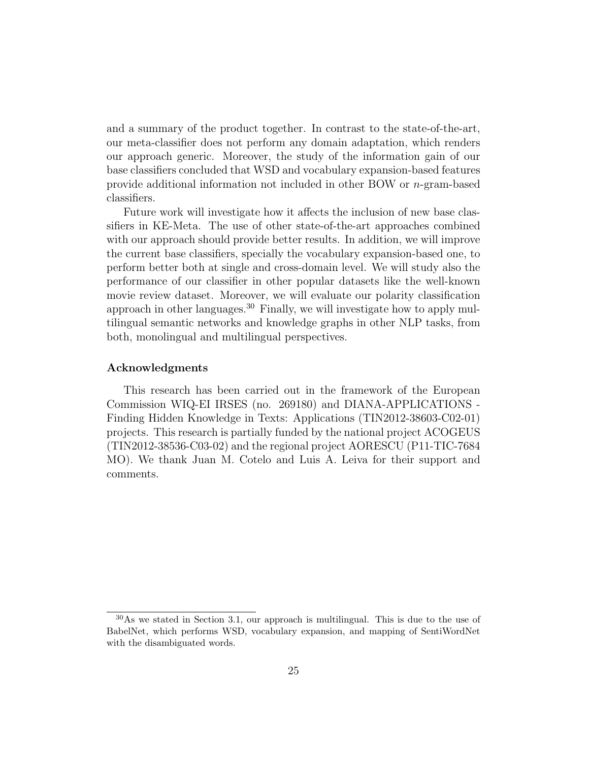and a summary of the product together. In contrast to the state-of-the-art, our meta-classifier does not perform any domain adaptation, which renders our approach generic. Moreover, the study of the information gain of our base classifiers concluded that WSD and vocabulary expansion-based features provide additional information not included in other BOW or n-gram-based classifiers.

Future work will investigate how it affects the inclusion of new base classifiers in KE-Meta. The use of other state-of-the-art approaches combined with our approach should provide better results. In addition, we will improve the current base classifiers, specially the vocabulary expansion-based one, to perform better both at single and cross-domain level. We will study also the performance of our classifier in other popular datasets like the well-known movie review dataset. Moreover, we will evaluate our polarity classification approach in other languages.<sup>30</sup> Finally, we will investigate how to apply multilingual semantic networks and knowledge graphs in other NLP tasks, from both, monolingual and multilingual perspectives.

#### Acknowledgments

This research has been carried out in the framework of the European Commission WIQ-EI IRSES (no. 269180) and DIANA-APPLICATIONS - Finding Hidden Knowledge in Texts: Applications (TIN2012-38603-C02-01) projects. This research is partially funded by the national project ACOGEUS (TIN2012-38536-C03-02) and the regional project AORESCU (P11-TIC-7684 MO). We thank Juan M. Cotelo and Luis A. Leiva for their support and comments.

 $30\text{As}$  we stated in Section 3.1, our approach is multilingual. This is due to the use of BabelNet, which performs WSD, vocabulary expansion, and mapping of SentiWordNet with the disambiguated words.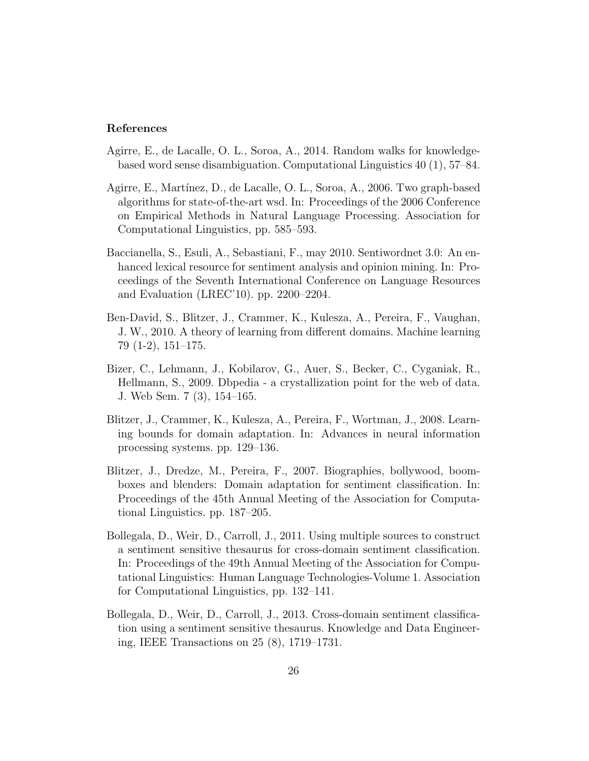#### References

- Agirre, E., de Lacalle, O. L., Soroa, A., 2014. Random walks for knowledgebased word sense disambiguation. Computational Linguistics 40 (1), 57–84.
- Agirre, E., Martínez, D., de Lacalle, O. L., Soroa, A., 2006. Two graph-based algorithms for state-of-the-art wsd. In: Proceedings of the 2006 Conference on Empirical Methods in Natural Language Processing. Association for Computational Linguistics, pp. 585–593.
- Baccianella, S., Esuli, A., Sebastiani, F., may 2010. Sentiwordnet 3.0: An enhanced lexical resource for sentiment analysis and opinion mining. In: Proceedings of the Seventh International Conference on Language Resources and Evaluation (LREC'10). pp. 2200–2204.
- Ben-David, S., Blitzer, J., Crammer, K., Kulesza, A., Pereira, F., Vaughan, J. W., 2010. A theory of learning from different domains. Machine learning 79 (1-2), 151–175.
- Bizer, C., Lehmann, J., Kobilarov, G., Auer, S., Becker, C., Cyganiak, R., Hellmann, S., 2009. Dbpedia - a crystallization point for the web of data. J. Web Sem. 7 (3), 154–165.
- Blitzer, J., Crammer, K., Kulesza, A., Pereira, F., Wortman, J., 2008. Learning bounds for domain adaptation. In: Advances in neural information processing systems. pp. 129–136.
- Blitzer, J., Dredze, M., Pereira, F., 2007. Biographies, bollywood, boomboxes and blenders: Domain adaptation for sentiment classification. In: Proceedings of the 45th Annual Meeting of the Association for Computational Linguistics. pp. 187–205.
- Bollegala, D., Weir, D., Carroll, J., 2011. Using multiple sources to construct a sentiment sensitive thesaurus for cross-domain sentiment classification. In: Proceedings of the 49th Annual Meeting of the Association for Computational Linguistics: Human Language Technologies-Volume 1. Association for Computational Linguistics, pp. 132–141.
- Bollegala, D., Weir, D., Carroll, J., 2013. Cross-domain sentiment classification using a sentiment sensitive thesaurus. Knowledge and Data Engineering, IEEE Transactions on 25 (8), 1719–1731.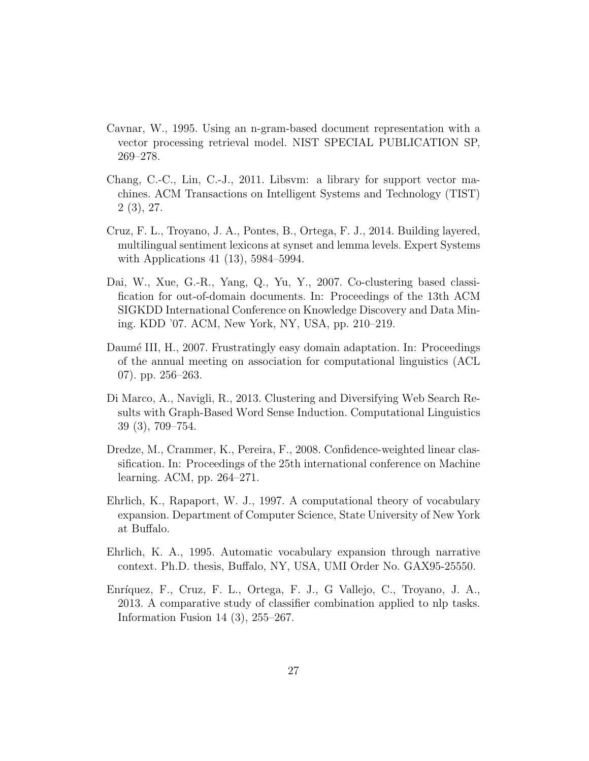- Cavnar, W., 1995. Using an n-gram-based document representation with a vector processing retrieval model. NIST SPECIAL PUBLICATION SP, 269–278.
- Chang, C.-C., Lin, C.-J., 2011. Libsvm: a library for support vector machines. ACM Transactions on Intelligent Systems and Technology (TIST) 2 (3), 27.
- Cruz, F. L., Troyano, J. A., Pontes, B., Ortega, F. J., 2014. Building layered, multilingual sentiment lexicons at synset and lemma levels. Expert Systems with Applications 41 (13), 5984–5994.
- Dai, W., Xue, G.-R., Yang, Q., Yu, Y., 2007. Co-clustering based classification for out-of-domain documents. In: Proceedings of the 13th ACM SIGKDD International Conference on Knowledge Discovery and Data Mining. KDD '07. ACM, New York, NY, USA, pp. 210–219.
- Daumé III, H., 2007. Frustratingly easy domain adaptation. In: Proceedings of the annual meeting on association for computational linguistics (ACL 07). pp. 256–263.
- Di Marco, A., Navigli, R., 2013. Clustering and Diversifying Web Search Results with Graph-Based Word Sense Induction. Computational Linguistics 39 (3), 709–754.
- Dredze, M., Crammer, K., Pereira, F., 2008. Confidence-weighted linear classification. In: Proceedings of the 25th international conference on Machine learning. ACM, pp. 264–271.
- Ehrlich, K., Rapaport, W. J., 1997. A computational theory of vocabulary expansion. Department of Computer Science, State University of New York at Buffalo.
- Ehrlich, K. A., 1995. Automatic vocabulary expansion through narrative context. Ph.D. thesis, Buffalo, NY, USA, UMI Order No. GAX95-25550.
- Enríquez, F., Cruz, F. L., Ortega, F. J., G. Vallejo, C., Troyano, J. A., 2013. A comparative study of classifier combination applied to nlp tasks. Information Fusion 14 (3), 255–267.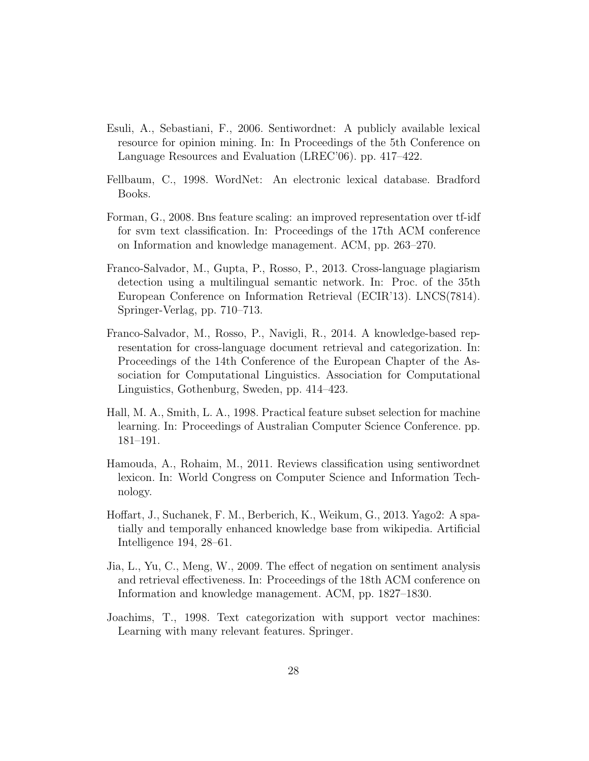- Esuli, A., Sebastiani, F., 2006. Sentiwordnet: A publicly available lexical resource for opinion mining. In: In Proceedings of the 5th Conference on Language Resources and Evaluation (LREC'06). pp. 417–422.
- Fellbaum, C., 1998. WordNet: An electronic lexical database. Bradford Books.
- Forman, G., 2008. Bns feature scaling: an improved representation over tf-idf for svm text classification. In: Proceedings of the 17th ACM conference on Information and knowledge management. ACM, pp. 263–270.
- Franco-Salvador, M., Gupta, P., Rosso, P., 2013. Cross-language plagiarism detection using a multilingual semantic network. In: Proc. of the 35th European Conference on Information Retrieval (ECIR'13). LNCS(7814). Springer-Verlag, pp. 710–713.
- Franco-Salvador, M., Rosso, P., Navigli, R., 2014. A knowledge-based representation for cross-language document retrieval and categorization. In: Proceedings of the 14th Conference of the European Chapter of the Association for Computational Linguistics. Association for Computational Linguistics, Gothenburg, Sweden, pp. 414–423.
- Hall, M. A., Smith, L. A., 1998. Practical feature subset selection for machine learning. In: Proceedings of Australian Computer Science Conference. pp. 181–191.
- Hamouda, A., Rohaim, M., 2011. Reviews classification using sentiwordnet lexicon. In: World Congress on Computer Science and Information Technology.
- Hoffart, J., Suchanek, F. M., Berberich, K., Weikum, G., 2013. Yago2: A spatially and temporally enhanced knowledge base from wikipedia. Artificial Intelligence 194, 28–61.
- Jia, L., Yu, C., Meng, W., 2009. The effect of negation on sentiment analysis and retrieval effectiveness. In: Proceedings of the 18th ACM conference on Information and knowledge management. ACM, pp. 1827–1830.
- Joachims, T., 1998. Text categorization with support vector machines: Learning with many relevant features. Springer.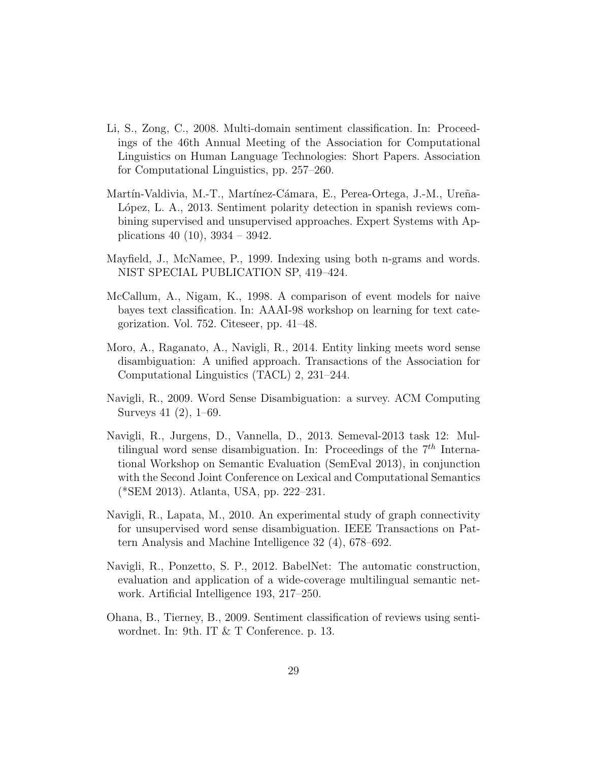- Li, S., Zong, C., 2008. Multi-domain sentiment classification. In: Proceedings of the 46th Annual Meeting of the Association for Computational Linguistics on Human Language Technologies: Short Papers. Association for Computational Linguistics, pp. 257–260.
- Martín-Valdivia, M.-T., Martínez-Cámara, E., Perea-Ortega, J.-M., Ureña-López, L. A., 2013. Sentiment polarity detection in spanish reviews combining supervised and unsupervised approaches. Expert Systems with Applications 40 (10), 3934 – 3942.
- Mayfield, J., McNamee, P., 1999. Indexing using both n-grams and words. NIST SPECIAL PUBLICATION SP, 419–424.
- McCallum, A., Nigam, K., 1998. A comparison of event models for naive bayes text classification. In: AAAI-98 workshop on learning for text categorization. Vol. 752. Citeseer, pp. 41–48.
- Moro, A., Raganato, A., Navigli, R., 2014. Entity linking meets word sense disambiguation: A unified approach. Transactions of the Association for Computational Linguistics (TACL) 2, 231–244.
- Navigli, R., 2009. Word Sense Disambiguation: a survey. ACM Computing Surveys 41 (2), 1–69.
- Navigli, R., Jurgens, D., Vannella, D., 2013. Semeval-2013 task 12: Multilingual word sense disambiguation. In: Proceedings of the  $7<sup>th</sup>$  International Workshop on Semantic Evaluation (SemEval 2013), in conjunction with the Second Joint Conference on Lexical and Computational Semantics (\*SEM 2013). Atlanta, USA, pp. 222–231.
- Navigli, R., Lapata, M., 2010. An experimental study of graph connectivity for unsupervised word sense disambiguation. IEEE Transactions on Pattern Analysis and Machine Intelligence 32 (4), 678–692.
- Navigli, R., Ponzetto, S. P., 2012. BabelNet: The automatic construction, evaluation and application of a wide-coverage multilingual semantic network. Artificial Intelligence 193, 217–250.
- Ohana, B., Tierney, B., 2009. Sentiment classification of reviews using sentiwordnet. In: 9th. IT & T Conference. p. 13.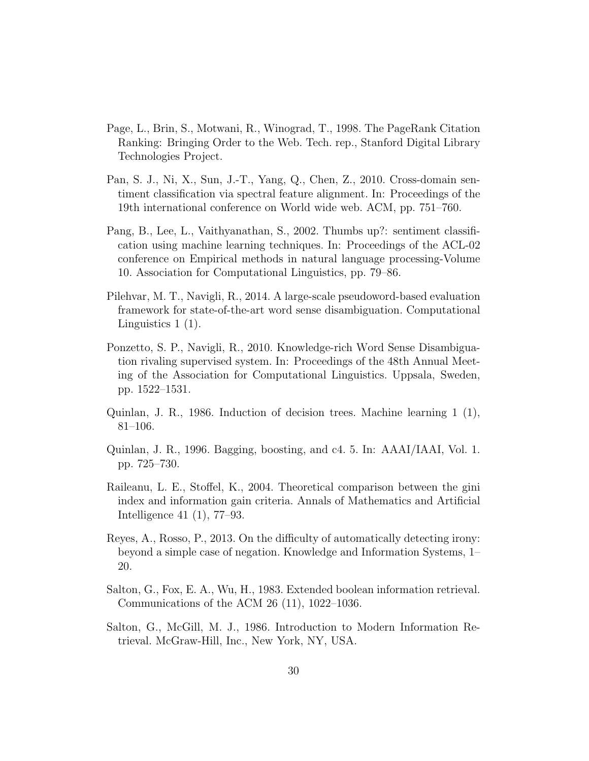- Page, L., Brin, S., Motwani, R., Winograd, T., 1998. The PageRank Citation Ranking: Bringing Order to the Web. Tech. rep., Stanford Digital Library Technologies Project.
- Pan, S. J., Ni, X., Sun, J.-T., Yang, Q., Chen, Z., 2010. Cross-domain sentiment classification via spectral feature alignment. In: Proceedings of the 19th international conference on World wide web. ACM, pp. 751–760.
- Pang, B., Lee, L., Vaithyanathan, S., 2002. Thumbs up?: sentiment classification using machine learning techniques. In: Proceedings of the ACL-02 conference on Empirical methods in natural language processing-Volume 10. Association for Computational Linguistics, pp. 79–86.
- Pilehvar, M. T., Navigli, R., 2014. A large-scale pseudoword-based evaluation framework for state-of-the-art word sense disambiguation. Computational Linguistics 1 (1).
- Ponzetto, S. P., Navigli, R., 2010. Knowledge-rich Word Sense Disambiguation rivaling supervised system. In: Proceedings of the 48th Annual Meeting of the Association for Computational Linguistics. Uppsala, Sweden, pp. 1522–1531.
- Quinlan, J. R., 1986. Induction of decision trees. Machine learning 1 (1), 81–106.
- Quinlan, J. R., 1996. Bagging, boosting, and c4. 5. In: AAAI/IAAI, Vol. 1. pp. 725–730.
- Raileanu, L. E., Stoffel, K., 2004. Theoretical comparison between the gini index and information gain criteria. Annals of Mathematics and Artificial Intelligence 41 (1), 77–93.
- Reyes, A., Rosso, P., 2013. On the difficulty of automatically detecting irony: beyond a simple case of negation. Knowledge and Information Systems, 1– 20.
- Salton, G., Fox, E. A., Wu, H., 1983. Extended boolean information retrieval. Communications of the ACM 26 (11), 1022–1036.
- Salton, G., McGill, M. J., 1986. Introduction to Modern Information Retrieval. McGraw-Hill, Inc., New York, NY, USA.